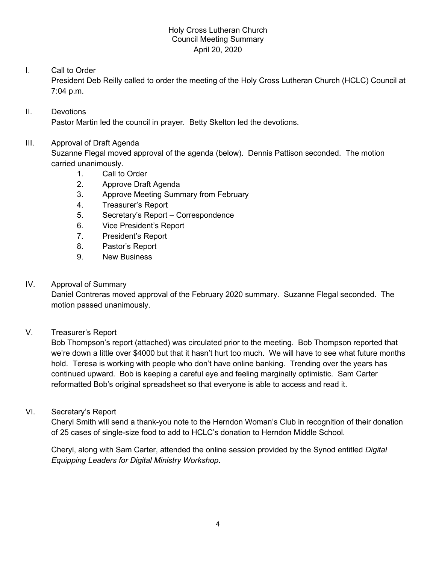### Holy Cross Lutheran Church Council Meeting Summary April 20, 2020

# I. Call to Order

President Deb Reilly called to order the meeting of the Holy Cross Lutheran Church (HCLC) Council at 7:04 p.m.

# II. Devotions Pastor Martin led the council in prayer. Betty Skelton led the devotions.

### III. Approval of Draft Agenda

Suzanne Flegal moved approval of the agenda (below). Dennis Pattison seconded. The motion carried unanimously.

- 1. Call to Order
- 2. Approve Draft Agenda
- 3. Approve Meeting Summary from February
- 4. Treasurer's Report
- 5. Secretary's Report Correspondence
- 6. Vice President's Report
- 7. President's Report
- 8. Pastor's Report
- 9. New Business

# IV. Approval of Summary

Daniel Contreras moved approval of the February 2020 summary. Suzanne Flegal seconded. The motion passed unanimously.

# V. Treasurer's Report

Bob Thompson's report (attached) was circulated prior to the meeting. Bob Thompson reported that we're down a little over \$4000 but that it hasn't hurt too much. We will have to see what future months hold. Teresa is working with people who don't have online banking. Trending over the years has continued upward. Bob is keeping a careful eye and feeling marginally optimistic. Sam Carter reformatted Bob's original spreadsheet so that everyone is able to access and read it.

VI. Secretary's Report

Cheryl Smith will send a thank-you note to the Herndon Woman's Club in recognition of their donation of 25 cases of single-size food to add to HCLC's donation to Herndon Middle School.

Cheryl, along with Sam Carter, attended the online session provided by the Synod entitled *Digital Equipping Leaders for Digital Ministry Workshop*.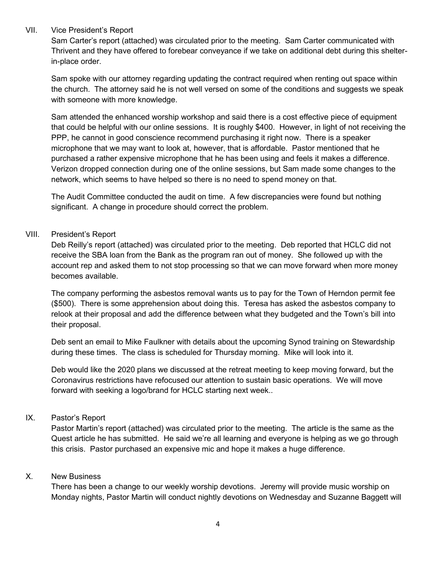#### VII. Vice President's Report

Sam Carter's report (attached) was circulated prior to the meeting. Sam Carter communicated with Thrivent and they have offered to forebear conveyance if we take on additional debt during this shelterin-place order.

Sam spoke with our attorney regarding updating the contract required when renting out space within the church. The attorney said he is not well versed on some of the conditions and suggests we speak with someone with more knowledge.

Sam attended the enhanced worship workshop and said there is a cost effective piece of equipment that could be helpful with our online sessions. It is roughly \$400. However, in light of not receiving the PPP, he cannot in good conscience recommend purchasing it right now. There is a speaker microphone that we may want to look at, however, that is affordable. Pastor mentioned that he purchased a rather expensive microphone that he has been using and feels it makes a difference. Verizon dropped connection during one of the online sessions, but Sam made some changes to the network, which seems to have helped so there is no need to spend money on that.

The Audit Committee conducted the audit on time. A few discrepancies were found but nothing significant. A change in procedure should correct the problem.

### VIII. President's Report

Deb Reilly's report (attached) was circulated prior to the meeting. Deb reported that HCLC did not receive the SBA loan from the Bank as the program ran out of money. She followed up with the account rep and asked them to not stop processing so that we can move forward when more money becomes available.

The company performing the asbestos removal wants us to pay for the Town of Herndon permit fee (\$500). There is some apprehension about doing this. Teresa has asked the asbestos company to relook at their proposal and add the difference between what they budgeted and the Town's bill into their proposal.

Deb sent an email to Mike Faulkner with details about the upcoming Synod training on Stewardship during these times. The class is scheduled for Thursday morning. Mike will look into it.

Deb would like the 2020 plans we discussed at the retreat meeting to keep moving forward, but the Coronavirus restrictions have refocused our attention to sustain basic operations. We will move forward with seeking a logo/brand for HCLC starting next week..

### IX. Pastor's Report

Pastor Martin's report (attached) was circulated prior to the meeting. The article is the same as the Quest article he has submitted. He said we're all learning and everyone is helping as we go through this crisis. Pastor purchased an expensive mic and hope it makes a huge difference.

### X. New Business

There has been a change to our weekly worship devotions. Jeremy will provide music worship on Monday nights, Pastor Martin will conduct nightly devotions on Wednesday and Suzanne Baggett will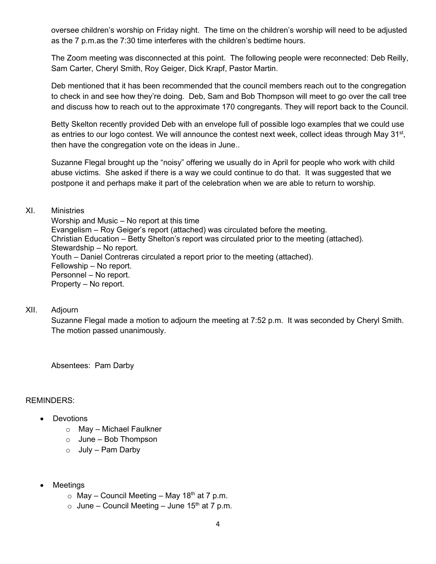oversee children's worship on Friday night. The time on the children's worship will need to be adjusted as the 7 p.m.as the 7:30 time interferes with the children's bedtime hours.

The Zoom meeting was disconnected at this point. The following people were reconnected: Deb Reilly, Sam Carter, Cheryl Smith, Roy Geiger, Dick Krapf, Pastor Martin.

Deb mentioned that it has been recommended that the council members reach out to the congregation to check in and see how they're doing. Deb, Sam and Bob Thompson will meet to go over the call tree and discuss how to reach out to the approximate 170 congregants. They will report back to the Council.

Betty Skelton recently provided Deb with an envelope full of possible logo examples that we could use as entries to our logo contest. We will announce the contest next week, collect ideas through May 31<sup>st</sup>, then have the congregation vote on the ideas in June..

Suzanne Flegal brought up the "noisy" offering we usually do in April for people who work with child abuse victims. She asked if there is a way we could continue to do that. It was suggested that we postpone it and perhaps make it part of the celebration when we are able to return to worship.

### XI. Ministries

Worship and Music – No report at this time Evangelism – Roy Geiger's report (attached) was circulated before the meeting. Christian Education – Betty Shelton's report was circulated prior to the meeting (attached). Stewardship – No report. Youth – Daniel Contreras circulated a report prior to the meeting (attached). Fellowship – No report. Personnel – No report. Property – No report.

#### XII. Adjourn

Suzanne Flegal made a motion to adjourn the meeting at 7:52 p.m. It was seconded by Cheryl Smith. The motion passed unanimously.

Absentees: Pam Darby

### REMINDERS:

- Devotions
	- o May Michael Faulkner
	- $\circ$  June Bob Thompson
	- $\circ$  July Pam Darby
- Meetings
	- $\circ$  May Council Meeting May 18<sup>th</sup> at 7 p.m.
	- $\circ$  June Council Meeting June 15<sup>th</sup> at 7 p.m.